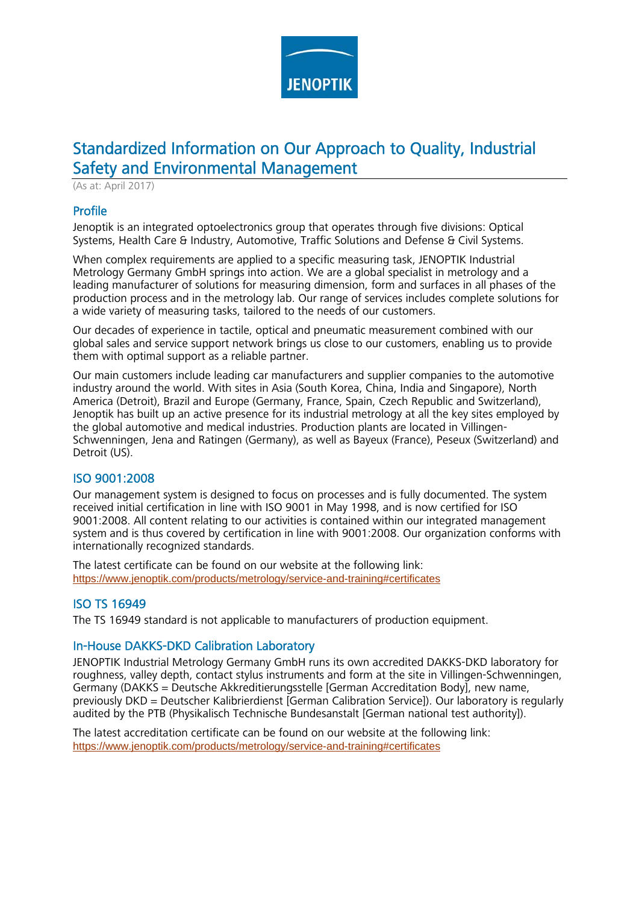

# Standardized Information on Our Approach to Quality, Industrial Safety and Environmental Management

(As at: April 2017)

## Profile

Jenoptik is an integrated optoelectronics group that operates through five divisions: Optical Systems, Health Care & Industry, Automotive, Traffic Solutions and Defense & Civil Systems.

When complex requirements are applied to a specific measuring task, JENOPTIK Industrial Metrology Germany GmbH springs into action. We are a global specialist in metrology and a leading manufacturer of solutions for measuring dimension, form and surfaces in all phases of the production process and in the metrology lab. Our range of services includes complete solutions for a wide variety of measuring tasks, tailored to the needs of our customers.

Our decades of experience in tactile, optical and pneumatic measurement combined with our global sales and service support network brings us close to our customers, enabling us to provide them with optimal support as a reliable partner.

Our main customers include leading car manufacturers and supplier companies to the automotive industry around the world. With sites in Asia (South Korea, China, India and Singapore), North America (Detroit), Brazil and Europe (Germany, France, Spain, Czech Republic and Switzerland), Jenoptik has built up an active presence for its industrial metrology at all the key sites employed by the global automotive and medical industries. Production plants are located in Villingen-Schwenningen, Jena and Ratingen (Germany), as well as Bayeux (France), Peseux (Switzerland) and Detroit (US).

## ISO 9001:2008

Our management system is designed to focus on processes and is fully documented. The system received initial certification in line with ISO 9001 in May 1998, and is now certified for ISO 9001:2008. All content relating to our activities is contained within our integrated management system and is thus covered by certification in line with 9001:2008. Our organization conforms with internationally recognized standards.

The latest certificate can be found on our website at the following link: https://www.jenoptik.com/products/metrology/service-and-training#certificates

## ISO TS 16949

The TS 16949 standard is not applicable to manufacturers of production equipment.

## In-House DAKKS-DKD Calibration Laboratory

JENOPTIK Industrial Metrology Germany GmbH runs its own accredited DAKKS-DKD laboratory for roughness, valley depth, contact stylus instruments and form at the site in Villingen-Schwenningen, Germany (DAKKS = Deutsche Akkreditierungsstelle [German Accreditation Body], new name, previously DKD = Deutscher Kalibrierdienst [German Calibration Service]). Our laboratory is regularly audited by the PTB (Physikalisch Technische Bundesanstalt [German national test authority]).

The latest accreditation certificate can be found on our website at the following link: https://www.jenoptik.com/products/metrology/service-and-training#certificates